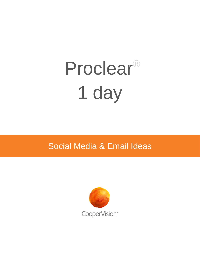## Proclear® 1 day

## **Social Media & Email Ideas**

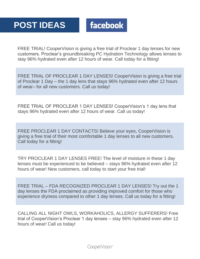## **POST IDEAS**

facebook

FREE TRIAL! CooperVision is giving a free trial of Proclear 1 day lenses for new customers. Proclear's groundbreaking PC Hydration Technology allows lenses to stay 96% hydrated even after 12 hours of wear. Call today for a fitting!

FREE TRIAL OF PROCLEAR 1 DAY LENSES! CooperVision is giving a free trial of Proclear 1 Day – the 1 day lens that stays 96% hydrated even after 12 hours of wear– for all new customers. Call us today!

FREE TRIAL OF PROCLEAR 1 DAY LENSES! CooperVision's 1 day lens that stays 96% hydrated even after 12 hours of wear. Call us today!

FREE PROCLEAR 1 DAY CONTACTS! Believe your eyes, CooperVision is giving a free trial of their most comfortable 1 day lenses to all new customers. Call today for a fitting!

TRY PROCLEAR 1 DAY LENSES FREE! The level of moisture in these 1 day lenses must be experienced to be believed – stays 96% hydrated even after 12 hours of wear! New customers, call today to start your free trial!

FREE TRIAL – FDA RECOGNIZED PROCLEAR 1 DAY LENSES! Try out the 1 day lenses the FDA proclaimed as providing improved comfort for those who experience dryness compared to other 1 day lenses. Call us today for a fitting!

CALLING ALL NIGHT OWLS, WORKAHOLICS, ALLERGY SUFFERERS! Free trial of CooperVision's Proclear 1 day lenses – stay 96% hydrated even after 12 hours of wear! Call us today!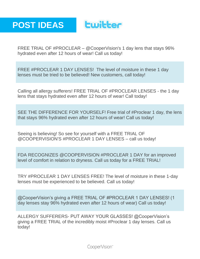

FREE TRIAL OF #PROCLEAR – @CooperVision's 1 day lens that stays 96% hydrated even after 12 hours of wear! Call us today!

FREE #PROCLEAR 1 DAY LENSES! The level of moisture in these 1 day lenses must be tried to be believed! New customers, call today!

Calling all allergy sufferers! FREE TRIAL OF #PROCLEAR LENSES - the 1 day lens that stays hydrated even after 12 hours of wear! Call today!

SEE THE DIFFERENCE FOR YOURSELF! Free trial of #Proclear 1 day, the lens that stays 96% hydrated even after 12 hours of wear! Call us today!

Seeing is believing! So see for yourself with a FREE TRIAL OF @COOPERVISION'S #PROCLEAR 1 DAY LENSES – call us today!

FDA RECOGNIZES @COOPERVISION #PROCLEAR 1 DAY for an improved level of comfort in relation to dryness. Call us today for a FREE TRIAL!

TRY #PROCLEAR 1 DAY LENSES FREE! The level of moisture in these 1-day lenses must be experienced to be believed. Call us today!

@CooperVision's giving a FREE TRIAL OF #PROCLEAR 1 DAY LENSES! (1 day lenses stay 96% hydrated even after 12 hours of wear) Call us today!

ALLERGY SUFFERERS- PUT AWAY YOUR GLASSES! @CooperVision's giving a FREE TRIAL of the incredibly moist #Proclear 1 day lenses. Call us today!